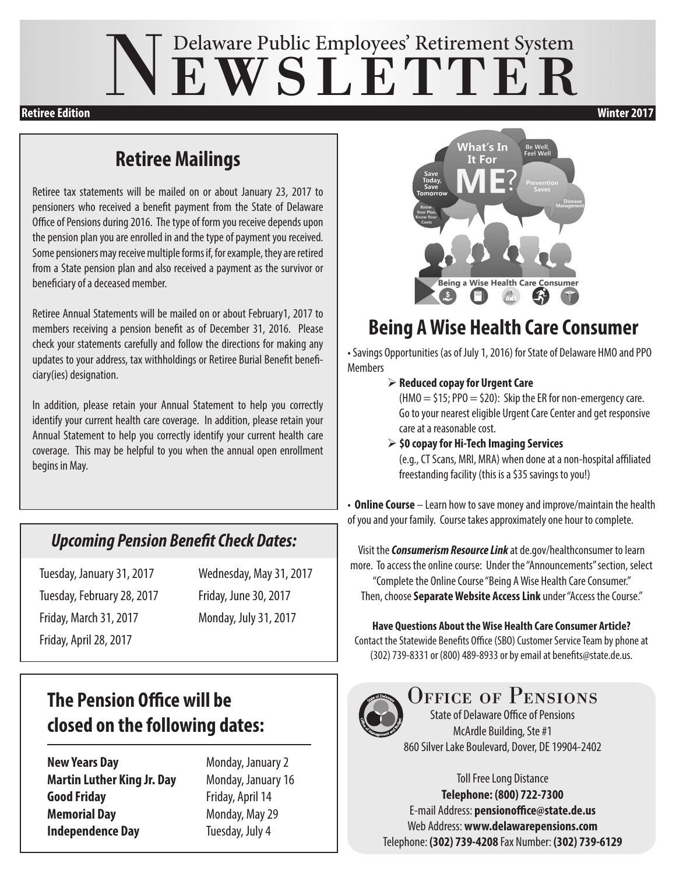# NEWSLETTER

**Retiree Edition Winter 2017**

#### **Retiree Mailings**

Retiree tax statements will be mailed on or about January 23, 2017 to pensioners who received a benefit payment from the State of Delaware Office of Pensions during 2016. The type of form you receive depends upon the pension plan you are enrolled in and the type of payment you received. Some pensioners may receive multiple forms if, for example, they are retired from a State pension plan and also received a payment as the survivor or beneficiary of a deceased member.

Retiree Annual Statements will be mailed on or about February1, 2017 to members receiving a pension benefit as of December 31, 2016. Please check your statements carefully and follow the directions for making any updates to your address, tax withholdings or Retiree Burial Benefit beneficiary(ies) designation.

In addition, please retain your Annual Statement to help you correctly identify your current health care coverage. In addition, please retain your Annual Statement to help you correctly identify your current health care coverage. This may be helpful to you when the annual open enrollment begins in May.

#### *Upcoming Pension Benefit Check Dates:*

Tuesday, February 28, 2017 Friday, June 30, 2017 Friday, March 31, 2017 Monday, July 31, 2017 Friday, April 28, 2017

Tuesday, January 31, 2017 Wednesday, May 31, 2017

#### **The Pension Office will be closed on the following dates:**

**New Years Day** Monday, January 2 **Martin Luther King Jr. Day** Monday, January 16 **Good Friday** Friday, April 14 **Memorial Day** Monday, May 29 **Independence Day** Tuesday, July 4



### **Being A Wise Health Care Consumer**

• Savings Opportunities (as of July 1, 2016) for State of Delaware HMO and PPO Members

 **Reduced copay for Urgent Care** 

 $(HMO = $15; PPO = $20):$  Skip the ER for non-emergency care. Go to your nearest eligible Urgent Care Center and get responsive care at a reasonable cost.

 **\$0 copay for Hi-Tech Imaging Services** 

 (e.g., CT Scans, MRI, MRA) when done at a non-hospital affiliated freestanding facility (this is a \$35 savings to you!)

• **Online Course** – Learn how to save money and improve/maintain the health of you and your family. Course takes approximately one hour to complete.

Visit the *Consumerism Resource Link* at de.gov/healthconsumer to learn more. To access the online course: Under the "Announcements" section, select "Complete the Online Course "Being A Wise Health Care Consumer." Then, choose **Separate Website Access Link** under "Access the Course."

#### **Have Questions About the Wise Health Care Consumer Article?**

Contact the Statewide Benefits Office (SBO) Customer Service Team by phone at (302) 739-8331 or (800) 489-8933 or by email at benefits@state.de.us.



OFFICE OF PENSIONS State of Delaware Office of Pensions

McArdle Building, Ste #1 860 Silver Lake Boulevard, Dover, DE 19904-2402

Toll Free Long Distance **Telephone: (800) 722-7300** E-mail Address: **pensionoffice@state.de.us** Web Address: **www.delawarepensions.com** Telephone: **(302) 739-4208** Fax Number: **(302) 739-6129**